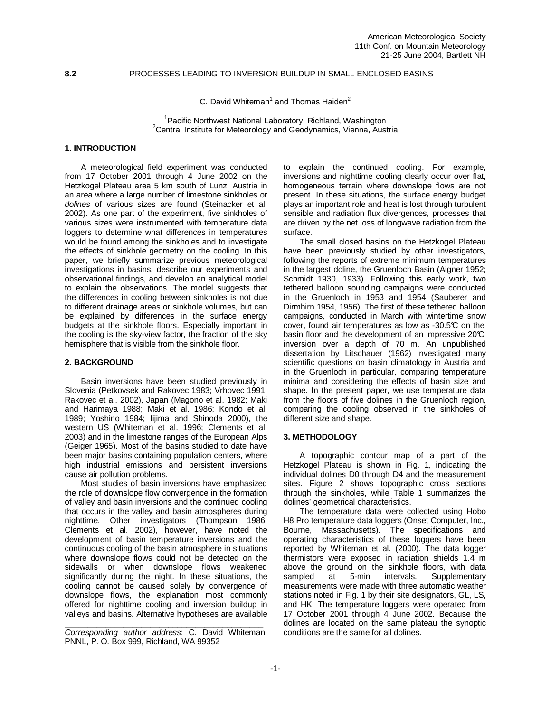## **8.2** PROCESSES LEADING TO INVERSION BUILDUP IN SMALL ENCLOSED BASINS

C. David Whiteman<sup>1</sup> and Thomas Haiden<sup>2</sup>

<sup>1</sup> Pacific Northwest National Laboratory, Richland, Washington  $2$ Central Institute for Meteorology and Geodynamics, Vienna, Austria

## **1. INTRODUCTION**

A meteorological field experiment was conducted from 17 October 2001 through 4 June 2002 on the Hetzkogel Plateau area 5 km south of Lunz, Austria in an area where a large number of limestone sinkholes or dolines of various sizes are found (Steinacker et al. 2002). As one part of the experiment, five sinkholes of various sizes were instrumented with temperature data loggers to determine what differences in temperatures would be found among the sinkholes and to investigate the effects of sinkhole geometry on the cooling. In this paper, we briefly summarize previous meteorological investigations in basins, describe our experiments and observational findings, and develop an analytical model to explain the observations. The model suggests that the differences in cooling between sinkholes is not due to different drainage areas or sinkhole volumes, but can be explained by differences in the surface energy budgets at the sinkhole floors. Especially important in the cooling is the sky-view factor, the fraction of the sky hemisphere that is visible from the sinkhole floor.

# **2. BACKGROUND**

Basin inversions have been studied previously in Slovenia (Petkovsek and Rakovec 1983; Vrhovec 1991; Rakovec et al. 2002), Japan (Magono et al. 1982; Maki and Harimaya 1988; Maki et al. 1986; Kondo et al. 1989; Yoshino 1984; Iijima and Shinoda 2000), the western US (Whiteman et al. 1996; Clements et al. 2003) and in the limestone ranges of the European Alps (Geiger 1965). Most of the basins studied to date have been major basins containing population centers, where high industrial emissions and persistent inversions cause air pollution problems.

Most studies of basin inversions have emphasized the role of downslope flow convergence in the formation of valley and basin inversions and the continued cooling that occurs in the valley and basin atmospheres during nighttime. Other investigators (Thompson 1986; Clements et al. 2002), however, have noted the development of basin temperature inversions and the continuous cooling of the basin atmosphere in situations where downslope flows could not be detected on the sidewalls or when downslope flows weakened significantly during the night. In these situations, the cooling cannot be caused solely by convergence of downslope flows, the explanation most commonly offered for nighttime cooling and inversion buildup in valleys and basins. Alternative hypotheses are available

\_\_\_\_\_\_\_\_\_\_\_\_\_\_\_\_\_\_\_\_\_\_\_\_\_\_\_\_\_\_\_\_\_\_\_\_\_\_\_\_\_\_\_\_ Corresponding author address: C. David Whiteman, PNNL, P. O. Box 999, Richland, WA 99352

to explain the continued cooling. For example, inversions and nighttime cooling clearly occur over flat, homogeneous terrain where downslope flows are not present. In these situations, the surface energy budget plays an important role and heat is lost through turbulent sensible and radiation flux divergences, processes that are driven by the net loss of longwave radiation from the surface.

The small closed basins on the Hetzkogel Plateau have been previously studied by other investigators, following the reports of extreme minimum temperatures in the largest doline, the Gruenloch Basin (Aigner 1952; Schmidt 1930, 1933). Following this early work, two tethered balloon sounding campaigns were conducted in the Gruenloch in 1953 and 1954 (Sauberer and Dirmhirn 1954, 1956). The first of these tethered balloon campaigns, conducted in March with wintertime snow cover, found air temperatures as low as -30.5°C on the basin floor and the development of an impressive  $20<sup>c</sup>$ inversion over a depth of 70 m. An unpublished dissertation by Litschauer (1962) investigated many scientific questions on basin climatology in Austria and in the Gruenloch in particular, comparing temperature minima and considering the effects of basin size and shape. In the present paper, we use temperature data from the floors of five dolines in the Gruenloch region, comparing the cooling observed in the sinkholes of different size and shape.

#### **3. METHODOLOGY**

 A topographic contour map of a part of the Hetzkogel Plateau is shown in Fig. 1, indicating the individual dolines D0 through D4 and the measurement sites. Figure 2 shows topographic cross sections through the sinkholes, while Table 1 summarizes the dolines' geometrical characteristics.

The temperature data were collected using Hobo H8 Pro temperature data loggers (Onset Computer, Inc., Bourne, Massachusetts). The specifications and operating characteristics of these loggers have been reported by Whiteman et al. (2000). The data logger thermistors were exposed in radiation shields 1.4 m above the ground on the sinkhole floors, with data sampled at 5-min intervals. Supplementary measurements were made with three automatic weather stations noted in Fig. 1 by their site designators, GL, LS, and HK. The temperature loggers were operated from 17 October 2001 through 4 June 2002. Because the dolines are located on the same plateau the synoptic conditions are the same for all dolines.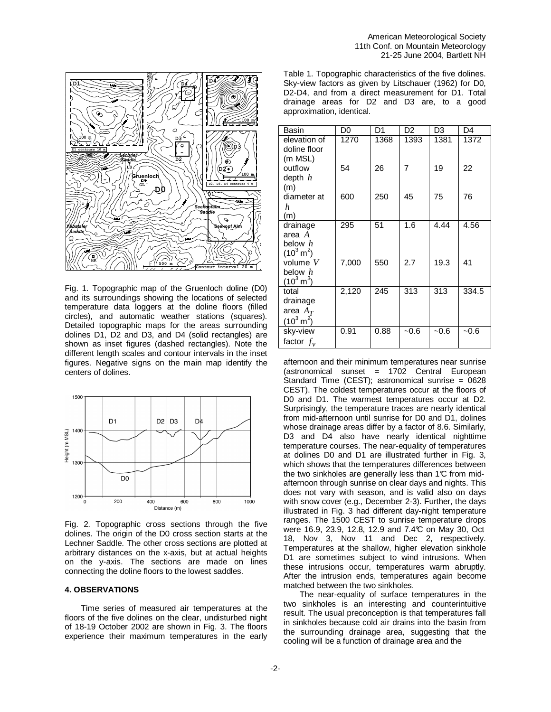

Fig. 1. Topographic map of the Gruenloch doline (D0) and its surroundings showing the locations of selected temperature data loggers at the doline floors (filled circles), and automatic weather stations (squares). Detailed topographic maps for the areas surrounding dolines D1, D2 and D3, and D4 (solid rectangles) are shown as inset figures (dashed rectangles). Note the different length scales and contour intervals in the inset figures. Negative signs on the main map identify the centers of dolines.



Fig. 2. Topographic cross sections through the five dolines. The origin of the D0 cross section starts at the Lechner Saddle. The other cross sections are plotted at arbitrary distances on the x-axis, but at actual heights on the y-axis. The sections are made on lines connecting the doline floors to the lowest saddles.

#### **4. OBSERVATIONS**

Time series of measured air temperatures at the floors of the five dolines on the clear, undisturbed night of 18-19 October 2002 are shown in Fig. 3. The floors experience their maximum temperatures in the early

Table 1. Topographic characteristics of the five dolines. Sky-view factors as given by Litschauer (1962) for D0, D2-D4, and from a direct measurement for D1. Total drainage areas for D2 and D3 are, to a good approximation, identical.

| Basin                                                        | D <sub>0</sub> | D1   | D <sub>2</sub> | D3     | D <sub>4</sub> |
|--------------------------------------------------------------|----------------|------|----------------|--------|----------------|
| elevation of<br>doline floor<br>(m MSL)                      | 1270           | 1368 | 1393           | 1381   | 1372           |
| outflow<br>depth $h$<br>(m)                                  | 54             | 26   | 7              | 19     | 22             |
| diameter at<br>h<br>(m)                                      | 600            | 250  | 45             | 75     | 76             |
| drainage<br>area $A$<br>below $h$<br>$(10^3 \,\mathrm{m}^2)$ | 295            | 51   | 1.6            | 4.44   | 4.56           |
| volume $V$<br>below $h$<br>$(10^3 \,\rm{m}^3)$               | 7,000          | 550  | 2.7            | 19.3   | 41             |
| total<br>drainage<br>area $A_T$<br>$(10^3 \,\mathrm{m}^2)$   | 2,120          | 245  | 313            | 313    | 334.5          |
| sky-view<br>factor $f_v$                                     | 0.91           | 0.88 | $-0.6$         | $-0.6$ | $-0.6$         |

afternoon and their minimum temperatures near sunrise  $(astronomical$  sunset = 1702 Central European Standard Time (CEST); astronomical sunrise = 0628 CEST). The coldest temperatures occur at the floors of D0 and D1. The warmest temperatures occur at D2. Surprisingly, the temperature traces are nearly identical from mid-afternoon until sunrise for D0 and D1, dolines whose drainage areas differ by a factor of 8.6. Similarly, D<sub>3</sub> and D<sub>4</sub> also have nearly identical nighttime temperature courses. The near-equality of temperatures at dolines D0 and D1 are illustrated further in Fig. 3, which shows that the temperatures differences between the two sinkholes are generally less than 1°C from midafternoon through sunrise on clear days and nights. This does not vary with season, and is valid also on days with snow cover (e.g., December 2-3). Further, the days illustrated in Fig. 3 had different day-night temperature ranges. The 1500 CEST to sunrise temperature drops were 16.9, 23.9, 12.8, 12.9 and 7.4°C on May 30, Oct 18, Nov 3, Nov 11 and Dec 2, respectively. Temperatures at the shallow, higher elevation sinkhole D1 are sometimes subject to wind intrusions. When these intrusions occur, temperatures warm abruptly. After the intrusion ends, temperatures again become matched between the two sinkholes.

 The near-equality of surface temperatures in the two sinkholes is an interesting and counterintuitive result. The usual preconception is that temperatures fall in sinkholes because cold air drains into the basin from the surrounding drainage area, suggesting that the cooling will be a function of drainage area and the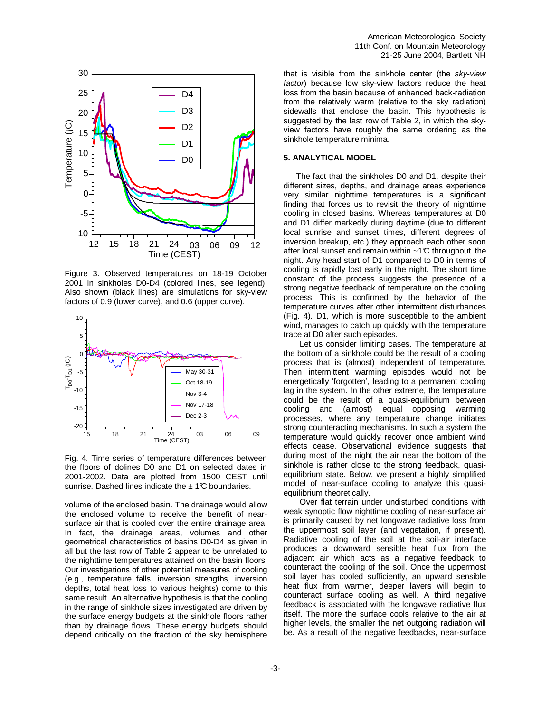



Figure 3. Observed temperatures on 18-19 October 2001 in sinkholes D0-D4 (colored lines, see legend). Also shown (black lines) are simulations for sky-view factors of 0.9 (lower curve), and 0.6 (upper curve).



Fig. 4. Time series of temperature differences between the floors of dolines D0 and D1 on selected dates in 2001-2002. Data are plotted from 1500 CEST until sunrise. Dashed lines indicate the  $\pm$  1°C boundaries.

volume of the enclosed basin. The drainage would allow the enclosed volume to receive the benefit of nearsurface air that is cooled over the entire drainage area. In fact, the drainage areas, volumes and other geometrical characteristics of basins D0-D4 as given in all but the last row of Table 2 appear to be unrelated to the nighttime temperatures attained on the basin floors. Our investigations of other potential measures of cooling (e.g., temperature falls, inversion strengths, inversion depths, total heat loss to various heights) come to this same result. An alternative hypothesis is that the cooling in the range of sinkhole sizes investigated are driven by the surface energy budgets at the sinkhole floors rather than by drainage flows. These energy budgets should depend critically on the fraction of the sky hemisphere

that is visible from the sinkhole center (the sky-view factor) because low sky-view factors reduce the heat loss from the basin because of enhanced back-radiation from the relatively warm (relative to the sky radiation) sidewalls that enclose the basin. This hypothesis is suggested by the last row of Table 2, in which the skyview factors have roughly the same ordering as the sinkhole temperature minima.

#### **5. ANALYTICAL MODEL**

The fact that the sinkholes D0 and D1, despite their different sizes, depths, and drainage areas experience very similar nighttime temperatures is a significant finding that forces us to revisit the theory of nighttime cooling in closed basins. Whereas temperatures at D0 and D1 differ markedly during daytime (due to different local sunrise and sunset times, different degrees of inversion breakup, etc.) they approach each other soon after local sunset and remain within  $~1^\circ$ C throughout the night. Any head start of D1 compared to D0 in terms of cooling is rapidly lost early in the night. The short time constant of the process suggests the presence of a strong negative feedback of temperature on the cooling process. This is confirmed by the behavior of the temperature curves after other intermittent disturbances (Fig. 4). D1, which is more susceptible to the ambient wind, manages to catch up quickly with the temperature trace at D0 after such episodes.

Let us consider limiting cases. The temperature at the bottom of a sinkhole could be the result of a cooling process that is (almost) independent of temperature. Then intermittent warming episodes would not be energetically 'forgotten', leading to a permanent cooling lag in the system. In the other extreme, the temperature could be the result of a quasi-equilibrium between cooling and (almost) equal opposing warming processes, where any temperature change initiates strong counteracting mechanisms. In such a system the temperature would quickly recover once ambient wind effects cease. Observational evidence suggests that during most of the night the air near the bottom of the sinkhole is rather close to the strong feedback, quasiequilibrium state. Below, we present a highly simplified model of near-surface cooling to analyze this quasiequilibrium theoretically.

 Over flat terrain under undisturbed conditions with weak synoptic flow nighttime cooling of near-surface air is primarily caused by net longwave radiative loss from the uppermost soil layer (and vegetation, if present). Radiative cooling of the soil at the soil-air interface produces a downward sensible heat flux from the adjacent air which acts as a negative feedback to counteract the cooling of the soil. Once the uppermost soil layer has cooled sufficiently, an upward sensible heat flux from warmer, deeper layers will begin to counteract surface cooling as well. A third negative feedback is associated with the longwave radiative flux itself. The more the surface cools relative to the air at higher levels, the smaller the net outgoing radiation will be. As a result of the negative feedbacks, near-surface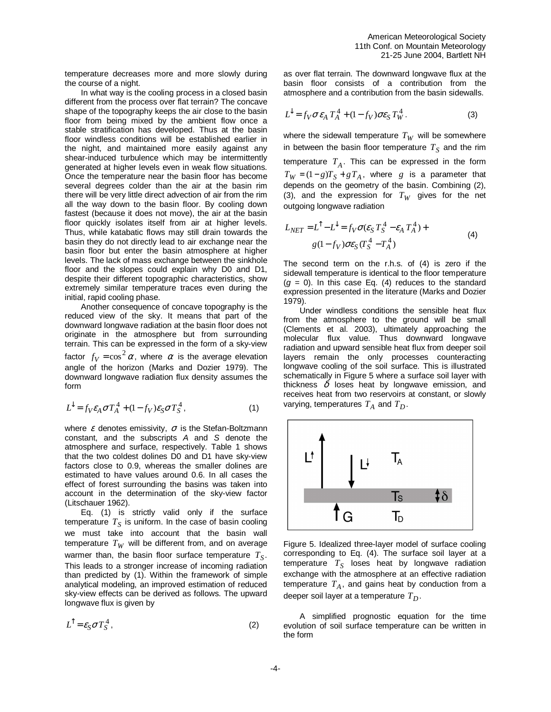temperature decreases more and more slowly during the course of a night.

 In what way is the cooling process in a closed basin different from the process over flat terrain? The concave shape of the topography keeps the air close to the basin floor from being mixed by the ambient flow once a stable stratification has developed. Thus at the basin floor windless conditions will be established earlier in the night, and maintained more easily against any shear-induced turbulence which may be intermittently generated at higher levels even in weak flow situations. Once the temperature near the basin floor has become several degrees colder than the air at the basin rim there will be very little direct advection of air from the rim all the way down to the basin floor. By cooling down fastest (because it does not move), the air at the basin floor quickly isolates itself from air at higher levels. Thus, while katabatic flows may still drain towards the basin they do not directly lead to air exchange near the basin floor but enter the basin atmosphere at higher levels. The lack of mass exchange between the sinkhole floor and the slopes could explain why D0 and D1, despite their different topographic characteristics, show extremely similar temperature traces even during the initial, rapid cooling phase.

 Another consequence of concave topography is the reduced view of the sky. It means that part of the downward longwave radiation at the basin floor does not originate in the atmosphere but from surrounding terrain. This can be expressed in the form of a sky-view factor  $f_V = \cos^2 \alpha$ , where  $\alpha$  is the average elevation angle of the horizon (Marks and Dozier 1979). The downward longwave radiation flux density assumes the form

$$
L^{\downarrow} = f_V \varepsilon_A \sigma T_A^4 + (1 - f_V) \varepsilon_S \sigma T_S^4, \qquad (1)
$$

where  $\varepsilon$  denotes emissivity,  $\sigma$  is the Stefan-Boltzmann constant, and the subscripts A and S denote the atmosphere and surface, respectively. Table 1 shows that the two coldest dolines D0 and D1 have sky-view factors close to 0.9, whereas the smaller dolines are estimated to have values around 0.6. In all cases the effect of forest surrounding the basins was taken into account in the determination of the sky-view factor (Litschauer 1962).

Eq. (1) is strictly valid only if the surface temperature  $T_S$  is uniform. In the case of basin cooling we must take into account that the basin wall temperature  $T_W$  will be different from, and on average warmer than, the basin floor surface temperature *T<sup>S</sup>* . This leads to a stronger increase of incoming radiation than predicted by (1). Within the framework of simple analytical modeling, an improved estimation of reduced sky-view effects can be derived as follows. The upward longwave flux is given by

$$
L^{\hat{}} = \varepsilon_S \sigma T_S^4 \,, \tag{2}
$$

as over flat terrain. The downward longwave flux at the basin floor consists of a contribution from the atmosphere and a contribution from the basin sidewalls.

$$
L^{\downarrow} = f_V \sigma \varepsilon_A T_A^4 + (1 - f_V) \sigma \varepsilon_S T_W^4. \tag{3}
$$

where the sidewall temperature  $T_W$  will be somewhere in between the basin floor temperature  $T_S$  and the rim temperature  $T_A$ . This can be expressed in the form  $T_W = (1-g)T_S + gT_A$ , where *g* is a parameter that depends on the geometry of the basin. Combining (2), (3), and the expression for  $T_W$  gives for the net outgoing longwave radiation

$$
L_{NET} = L^{\uparrow} - L^{\downarrow} = f_V \sigma (\varepsilon_S T_S^4 - \varepsilon_A T_A^4) +
$$
  
 
$$
g(1 - f_V) \sigma \varepsilon_S (T_S^4 - T_A^4)
$$
 (4)

The second term on the r.h.s. of (4) is zero if the sidewall temperature is identical to the floor temperature  $(g = 0)$ . In this case Eq. (4) reduces to the standard expression presented in the literature (Marks and Dozier 1979).

 Under windless conditions the sensible heat flux from the atmosphere to the ground will be small (Clements et al. 2003), ultimately approaching the molecular flux value. Thus downward longwave radiation and upward sensible heat flux from deeper soil layers remain the only processes counteracting longwave cooling of the soil surface. This is illustrated schematically in Figure 5 where a surface soil layer with thickness  $\delta$  loses heat by longwave emission, and receives heat from two reservoirs at constant, or slowly varying, temperatures  $T_A$  and  $T_D$ .



Figure 5. Idealized three-layer model of surface cooling corresponding to Eq. (4). The surface soil layer at a temperature  $T_S$  loses heat by longwave radiation exchange with the atmosphere at an effective radiation temperature *T<sup>A</sup>* , and gains heat by conduction from a deeper soil layer at a temperature *T<sup>D</sup>* .

A simplified prognostic equation for the time evolution of soil surface temperature can be written in the form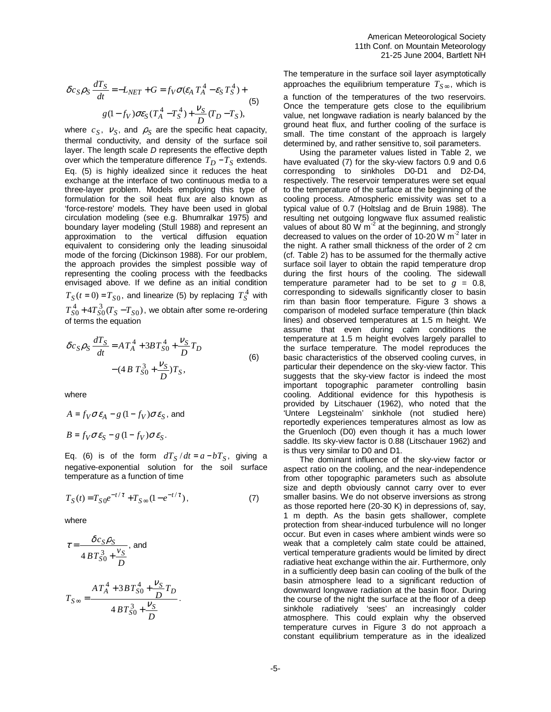$$
\delta c_S \rho_S \frac{dT_S}{dt} = -L_{NET} + G = f_V \sigma (\varepsilon_A T_A^4 - \varepsilon_S T_S^4) +
$$
  
g(1-f\_V) \sigma \varepsilon\_S (T\_A^4 - T\_S^4) + \frac{V\_S}{D} (T\_D - T\_S), (5)

where  $c_S$ ,  $v_S$ , and  $\rho_S$  are the specific heat capacity, thermal conductivity, and density of the surface soil layer. The length scale D represents the effective depth over which the temperature difference  $T_D - T_S$  extends. Eq. (5) is highly idealized since it reduces the heat exchange at the interface of two continuous media to a three-layer problem. Models employing this type of formulation for the soil heat flux are also known as 'force-restore' models. They have been used in global circulation modeling (see e.g. Bhumralkar 1975) and boundary layer modeling (Stull 1988) and represent an approximation to the vertical diffusion equation equivalent to considering only the leading sinusoidal mode of the forcing (Dickinson 1988). For our problem, the approach provides the simplest possible way of representing the cooling process with the feedbacks envisaged above. If we define as an initial condition  $T_S(t=0) = T_{S0}$ , and linearize (5) by replacing  $T_S^4$  with  $T_{S0}^4$ +4 $T_{S0}^3$ ( $T_S$  – $T_{S0}$ ), we obtain after some re-ordering of terms the equation

$$
\delta c_S \rho_S \frac{dT_S}{dt} = A T_A^4 + 3B T_{S0}^4 + \frac{V_S}{D} T_D
$$
  
-(4 B T\_{S0}^3 + \frac{V\_S}{D}) T\_S, (6)

where

$$
A = f_V \sigma \varepsilon_A - g (1 - f_V) \sigma \varepsilon_S, \text{ and}
$$
  

$$
B = f_V \sigma \varepsilon_S - g (1 - f_V) \sigma \varepsilon_S.
$$

Eq. (6) is of the form  $dT_S/dt = a - bT_S$ , giving a negative-exponential solution for the soil surface temperature as a function of time

$$
T_S(t) = T_{S0}e^{-t/\tau} + T_{S\infty}(1 - e^{-t/\tau}),
$$
\n(7)

.

where

$$
\tau = \frac{\delta c_S \rho_S}{4 B T_{S0}^3 + \frac{v_S}{D}}, \text{ and}
$$
\n
$$
T_{S\infty} = \frac{A T_A^4 + 3 B T_{S0}^4 + \frac{v_S}{D} T_D}{4 B T_{S0}^3 + \frac{v_S}{D}}
$$

The temperature in the surface soil layer asymptotically approaches the equilibrium temperature  $T_{S\infty}$ , which is

a function of the temperatures of the two reservoirs. Once the temperature gets close to the equilibrium value, net longwave radiation is nearly balanced by the ground heat flux, and further cooling of the surface is small. The time constant of the approach is largely determined by, and rather sensitive to, soil parameters.

Using the parameter values listed in Table 2, we have evaluated (7) for the sky-view factors 0.9 and 0.6 corresponding to sinkholes D0-D1 and D2-D4, respectively. The reservoir temperatures were set equal to the temperature of the surface at the beginning of the cooling process. Atmospheric emissivity was set to a typical value of 0.7 (Holtslag and de Bruin 1988). The resulting net outgoing longwave flux assumed realistic values of about 80 W  $\text{m}^2$  at the beginning, and strongly decreased to values on the order of 10-20 W  $m<sup>2</sup>$  later in the night. A rather small thickness of the order of 2 cm (cf. Table 2) has to be assumed for the thermally active surface soil layer to obtain the rapid temperature drop during the first hours of the cooling. The sidewall temperature parameter had to be set to  $q = 0.8$ , corresponding to sidewalls significantly closer to basin rim than basin floor temperature. Figure 3 shows a comparison of modeled surface temperature (thin black lines) and observed temperatures at 1.5 m height. We assume that even during calm conditions the temperature at 1.5 m height evolves largely parallel to the surface temperature. The model reproduces the basic characteristics of the observed cooling curves, in particular their dependence on the sky-view factor. This suggests that the sky-view factor is indeed the most important topographic parameter controlling basin cooling. Additional evidence for this hypothesis is provided by Litschauer (1962), who noted that the 'Untere Legsteinalm' sinkhole (not studied here) reportedly experiences temperatures almost as low as the Gruenloch (D0) even though it has a much lower saddle. Its sky-view factor is 0.88 (Litschauer 1962) and is thus very similar to D0 and D1.

The dominant influence of the sky-view factor or aspect ratio on the cooling, and the near-independence from other topographic parameters such as absolute size and depth obviously cannot carry over to ever smaller basins. We do not observe inversions as strong as those reported here (20-30 K) in depressions of, say, 1 m depth. As the basin gets shallower, complete protection from shear-induced turbulence will no longer occur. But even in cases where ambient winds were so weak that a completely calm state could be attained, vertical temperature gradients would be limited by direct radiative heat exchange within the air. Furthermore, only in a sufficiently deep basin can cooling of the bulk of the basin atmosphere lead to a significant reduction of downward longwave radiation at the basin floor. During the course of the night the surface at the floor of a deep sinkhole radiatively 'sees' an increasingly colder atmosphere. This could explain why the observed temperature curves in Figure 3 do not approach a constant equilibrium temperature as in the idealized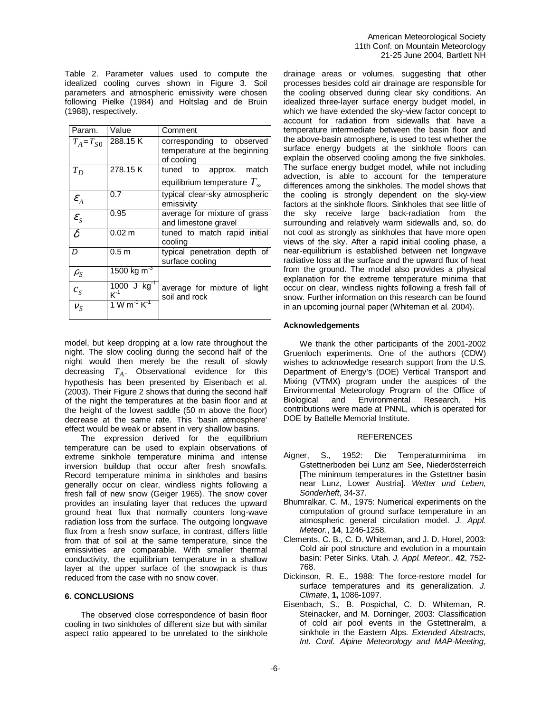Table 2. Parameter values used to compute the idealized cooling curves shown in Figure 3. Soil parameters and atmospheric emissivity were chosen following Pielke (1984) and Holtslag and de Bruin (1988), respectively.

| Param.              | Value                               | Comment                                                                 |
|---------------------|-------------------------------------|-------------------------------------------------------------------------|
| $T_A = T_{S0}$      | 288.15K                             | corresponding to observed<br>temperature at the beginning<br>of cooling |
| $T_D$               | 278.15K                             | tuned to approx.<br>match<br>equilibrium temperature $T_{\infty}$       |
| $\mathcal{E}_A$     | 0.7                                 | typical clear-sky atmospheric<br>emissivity                             |
| $\mathcal{E}_{S}$   | 0.95                                | average for mixture of grass<br>and limestone gravel                    |
| $\overline{\delta}$ | $0.02 \text{ m}$                    | tuned to match rapid initial<br>cooling                                 |
| D                   | 0.5 <sub>m</sub>                    | typical penetration depth of<br>surface cooling                         |
| $\rho_S$            | 1500 kg m <sup>-3</sup>             |                                                                         |
| $c_{\rm s}$         | 1000 J $\text{kg}^{-1}$<br>$K^{-1}$ | average for mixture of light<br>soil and rock                           |
| $v_S$               | $1 W m^{-1} K^{-1}$                 |                                                                         |

model, but keep dropping at a low rate throughout the night. The slow cooling during the second half of the night would then merely be the result of slowly decreasing *T<sup>A</sup>* . Observational evidence for this hypothesis has been presented by Eisenbach et al. (2003). Their Figure 2 shows that during the second half of the night the temperatures at the basin floor and at the height of the lowest saddle (50 m above the floor) decrease at the same rate. This 'basin atmosphere' effect would be weak or absent in very shallow basins.

 The expression derived for the equilibrium temperature can be used to explain observations of extreme sinkhole temperature minima and intense inversion buildup that occur after fresh snowfalls. Record temperature minima in sinkholes and basins generally occur on clear, windless nights following a fresh fall of new snow (Geiger 1965). The snow cover provides an insulating layer that reduces the upward ground heat flux that normally counters long-wave radiation loss from the surface. The outgoing longwave flux from a fresh snow surface, in contrast, differs little from that of soil at the same temperature, since the emissivities are comparable. With smaller thermal conductivity, the equilibrium temperature in a shallow layer at the upper surface of the snowpack is thus reduced from the case with no snow cover.

## **6. CONCLUSIONS**

 The observed close correspondence of basin floor cooling in two sinkholes of different size but with similar aspect ratio appeared to be unrelated to the sinkhole drainage areas or volumes, suggesting that other processes besides cold air drainage are responsible for the cooling observed during clear sky conditions. An idealized three-layer surface energy budget model, in which we have extended the sky-view factor concept to account for radiation from sidewalls that have a temperature intermediate between the basin floor and the above-basin atmosphere, is used to test whether the surface energy budgets at the sinkhole floors can explain the observed cooling among the five sinkholes. The surface energy budget model, while not including advection, is able to account for the temperature differences among the sinkholes. The model shows that the cooling is strongly dependent on the sky-view factors at the sinkhole floors. Sinkholes that see little of the sky receive large back-radiation from the surrounding and relatively warm sidewalls and, so, do not cool as strongly as sinkholes that have more open views of the sky. After a rapid initial cooling phase, a near-equilibrium is established between net longwave radiative loss at the surface and the upward flux of heat from the ground. The model also provides a physical explanation for the extreme temperature minima that occur on clear, windless nights following a fresh fall of snow. Further information on this research can be found in an upcoming journal paper (Whiteman et al. 2004).

### **Acknowledgements**

We thank the other participants of the 2001-2002 Gruenloch experiments. One of the authors (CDW) wishes to acknowledge research support from the U.S. Department of Energy's (DOE) Vertical Transport and Mixing (VTMX) program under the auspices of the Environmental Meteorology Program of the Office of Biological and Environmental contributions were made at PNNL, which is operated for DOE by Battelle Memorial Institute.

#### **REFERENCES**

- Aigner, S., 1952: Die Temperaturminima im Gstettnerboden bei Lunz am See, Niederösterreich [The minimum temperatures in the Gstettner basin near Lunz, Lower Austria]. Wetter und Leben, Sonderheft, 34-37.
- Bhumralkar, C. M., 1975: Numerical experiments on the computation of ground surface temperature in an atmospheric general circulation model. J. Appl. Meteor., **14**, 1246-1258.
- Clements, C. B., C. D. Whiteman, and J. D. Horel, 2003: Cold air pool structure and evolution in a mountain basin: Peter Sinks, Utah. J. Appl. Meteor., **42**, 752- 768.
- Dickinson, R. E., 1988: The force-restore model for surface temperatures and its generalization. J. Climate, **1,** 1086-1097.
- Eisenbach, S., B. Pospichal, C. D. Whiteman, R. Steinacker, and M. Dorninger, 2003: Classification of cold air pool events in the Gstettneralm, a sinkhole in the Eastern Alps. Extended Abstracts, Int. Conf. Alpine Meteorology and MAP-Meeting,